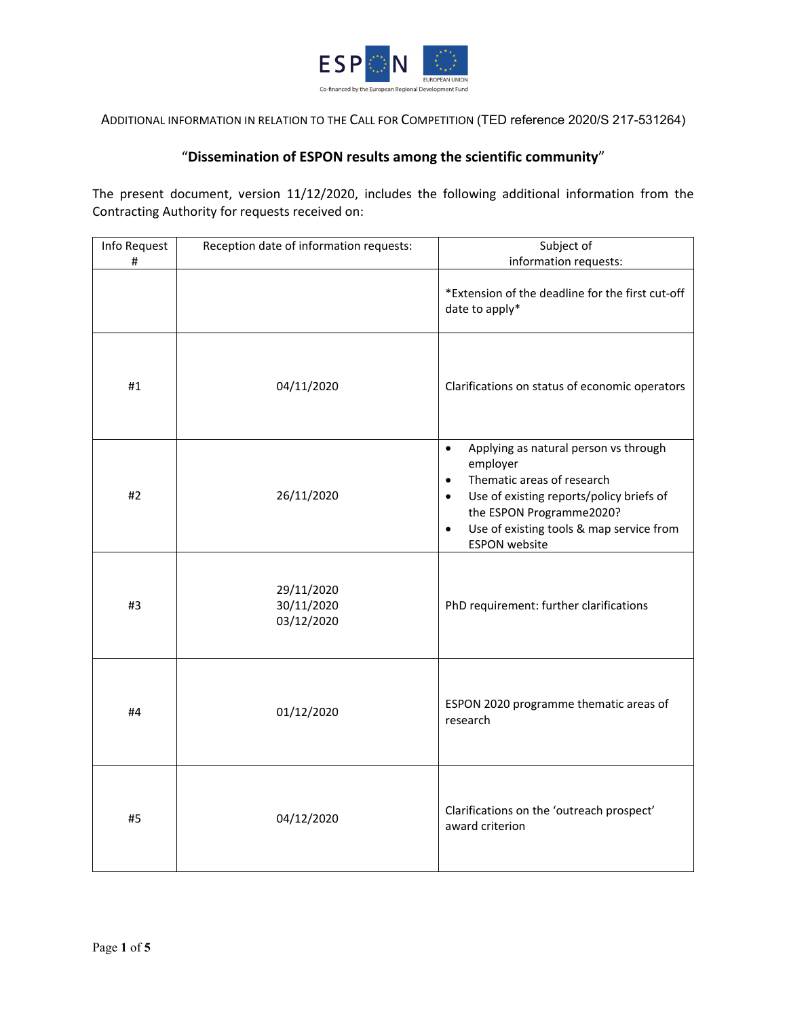

ADDITIONAL INFORMATION IN RELATION TO THE CALL FOR COMPETITION (TED reference 2020/S 217-531264)

# "**Dissemination of ESPON results among the scientific community**"

The present document, version 11/12/2020, includes the following additional information from the Contracting Authority for requests received on:

| Info Request | Reception date of information requests: | Subject of                                                                                                                                                                                                                                                                      |
|--------------|-----------------------------------------|---------------------------------------------------------------------------------------------------------------------------------------------------------------------------------------------------------------------------------------------------------------------------------|
| #            |                                         | information requests:                                                                                                                                                                                                                                                           |
|              |                                         | *Extension of the deadline for the first cut-off<br>date to apply*                                                                                                                                                                                                              |
| #1           | 04/11/2020                              | Clarifications on status of economic operators                                                                                                                                                                                                                                  |
| #2           | 26/11/2020                              | Applying as natural person vs through<br>$\bullet$<br>employer<br>Thematic areas of research<br>$\bullet$<br>Use of existing reports/policy briefs of<br>$\bullet$<br>the ESPON Programme2020?<br>Use of existing tools & map service from<br>$\bullet$<br><b>ESPON</b> website |
| #3           | 29/11/2020<br>30/11/2020<br>03/12/2020  | PhD requirement: further clarifications                                                                                                                                                                                                                                         |
| #4           | 01/12/2020                              | ESPON 2020 programme thematic areas of<br>research                                                                                                                                                                                                                              |
| #5           | 04/12/2020                              | Clarifications on the 'outreach prospect'<br>award criterion                                                                                                                                                                                                                    |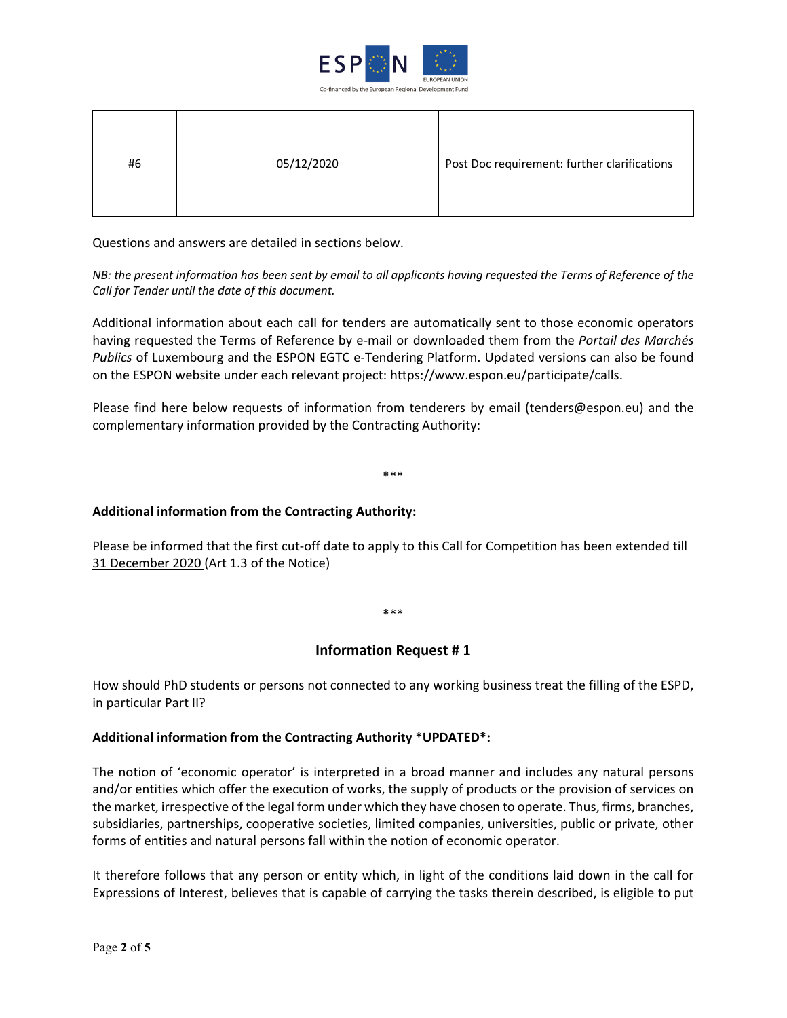

| #6 | 05/12/2020 | Post Doc requirement: further clarifications |
|----|------------|----------------------------------------------|
|----|------------|----------------------------------------------|

Questions and answers are detailed in sections below.

*NB: the present information has been sent by email to all applicants having requested the Terms of Reference of the Call for Tender until the date of this document.* 

Additional information about each call for tenders are automatically sent to those economic operators having requested the Terms of Reference by e-mail or downloaded them from the *Portail des Marchés Publics* of Luxembourg and the ESPON EGTC e-Tendering Platform. Updated versions can also be found on the ESPON website under each relevant project: https://www.espon.eu/participate/calls.

Please find here below requests of information from tenderers by email (tenders@espon.eu) and the complementary information provided by the Contracting Authority:

\*\*\*

#### **Additional information from the Contracting Authority:**

Please be informed that the first cut-off date to apply to this Call for Competition has been extended till 31 December 2020 (Art 1.3 of the Notice)

\*\*\*

#### **Information Request # 1**

How should PhD students or persons not connected to any working business treat the filling of the ESPD, in particular Part II?

#### **Additional information from the Contracting Authority \*UPDATED\*:**

The notion of 'economic operator' is interpreted in a broad manner and includes any natural persons and/or entities which offer the execution of works, the supply of products or the provision of services on the market, irrespective of the legal form under which they have chosen to operate. Thus, firms, branches, subsidiaries, partnerships, cooperative societies, limited companies, universities, public or private, other forms of entities and natural persons fall within the notion of economic operator.

It therefore follows that any person or entity which, in light of the conditions laid down in the call for Expressions of Interest, believes that is capable of carrying the tasks therein described, is eligible to put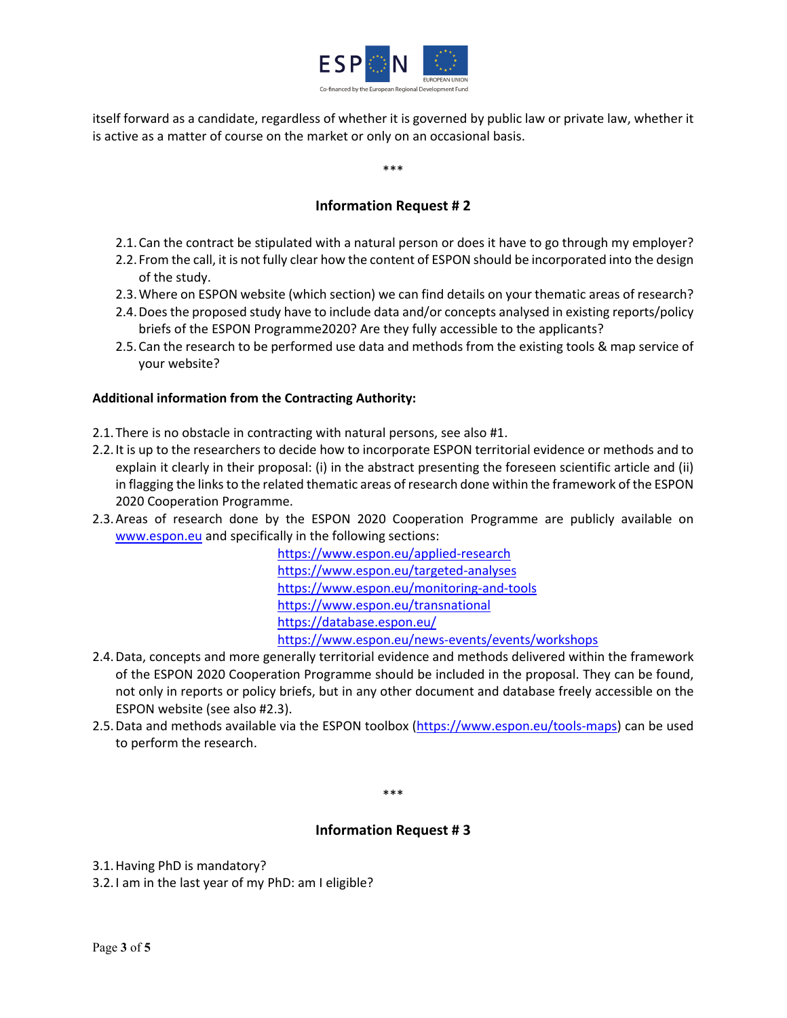

itself forward as a candidate, regardless of whether it is governed by public law or private law, whether it is active as a matter of course on the market or only on an occasional basis.

\*\*\*

# **Information Request # 2**

- 2.1.Can the contract be stipulated with a natural person or does it have to go through my employer?
- 2.2. From the call, it is not fully clear how the content of ESPON should be incorporated into the design of the study.
- 2.3.Where on ESPON website (which section) we can find details on your thematic areas of research?
- 2.4.Does the proposed study have to include data and/or concepts analysed in existing reports/policy briefs of the ESPON Programme2020? Are they fully accessible to the applicants?
- 2.5.Can the research to be performed use data and methods from the existing tools & map service of your website?

## **Additional information from the Contracting Authority:**

- 2.1.There is no obstacle in contracting with natural persons, see also #1.
- 2.2.It is up to the researchers to decide how to incorporate ESPON territorial evidence or methods and to explain it clearly in their proposal: (i) in the abstract presenting the foreseen scientific article and (ii) in flagging the links to the related thematic areas of research done within the framework of the ESPON 2020 Cooperation Programme.
- 2.3.Areas of research done by the ESPON 2020 Cooperation Programme are publicly available on [www.espon.eu](http://www.espon.eu/) and specifically in the following sections:

<https://www.espon.eu/applied-research> <https://www.espon.eu/targeted-analyses> <https://www.espon.eu/monitoring-and-tools> <https://www.espon.eu/transnational> <https://database.espon.eu/> <https://www.espon.eu/news-events/events/workshops>

- 2.4.Data, concepts and more generally territorial evidence and methods delivered within the framework of the ESPON 2020 Cooperation Programme should be included in the proposal. They can be found, not only in reports or policy briefs, but in any other document and database freely accessible on the ESPON website (see also #2.3).
- 2.5.Data and methods available via the ESPON toolbox [\(https://www.espon.eu/tools-maps\)](https://www.espon.eu/tools-maps) can be used to perform the research.

\*\*\*

# **Information Request # 3**

3.1.Having PhD is mandatory?

3.2.I am in the last year of my PhD: am I eligible?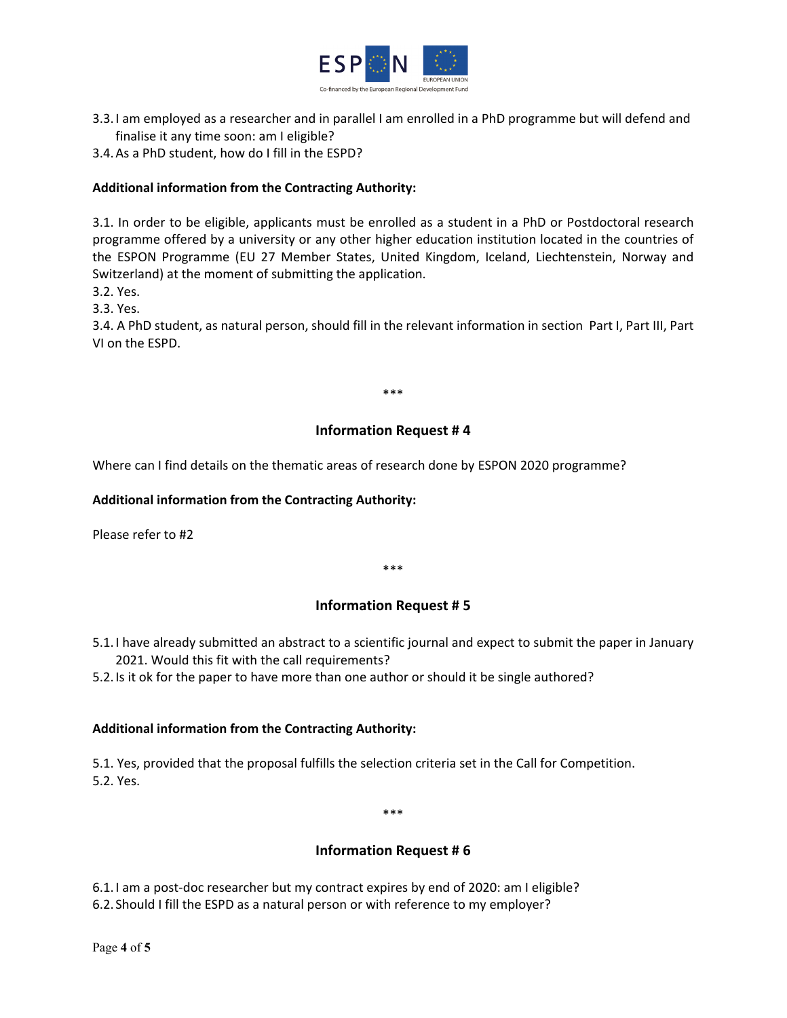

- 3.3.I am employed as a researcher and in parallel I am enrolled in a PhD programme but will defend and finalise it any time soon: am I eligible?
- 3.4.As a PhD student, how do I fill in the ESPD?

## **Additional information from the Contracting Authority:**

3.1. In order to be eligible, applicants must be enrolled as a student in a PhD or Postdoctoral research programme offered by a university or any other higher education institution located in the countries of the ESPON Programme (EU 27 Member States, United Kingdom, Iceland, Liechtenstein, Norway and Switzerland) at the moment of submitting the application.

- 3.2. Yes.
- 3.3. Yes.

3.4. A PhD student, as natural person, should fill in the relevant information in section Part I, Part III, Part VI on the ESPD.

\*\*\*

#### **Information Request # 4**

Where can I find details on the thematic areas of research done by ESPON 2020 programme?

#### **Additional information from the Contracting Authority:**

Please refer to #2

\*\*\*

#### **Information Request # 5**

5.1.I have already submitted an abstract to a scientific journal and expect to submit the paper in January 2021. Would this fit with the call requirements?

5.2.Is it ok for the paper to have more than one author or should it be single authored?

#### **Additional information from the Contracting Authority:**

5.1. Yes, provided that the proposal fulfills the selection criteria set in the Call for Competition. 5.2. Yes.

\*\*\*

# **Information Request # 6**

6.1.I am a post-doc researcher but my contract expires by end of 2020: am I eligible? 6.2. Should I fill the ESPD as a natural person or with reference to my employer?